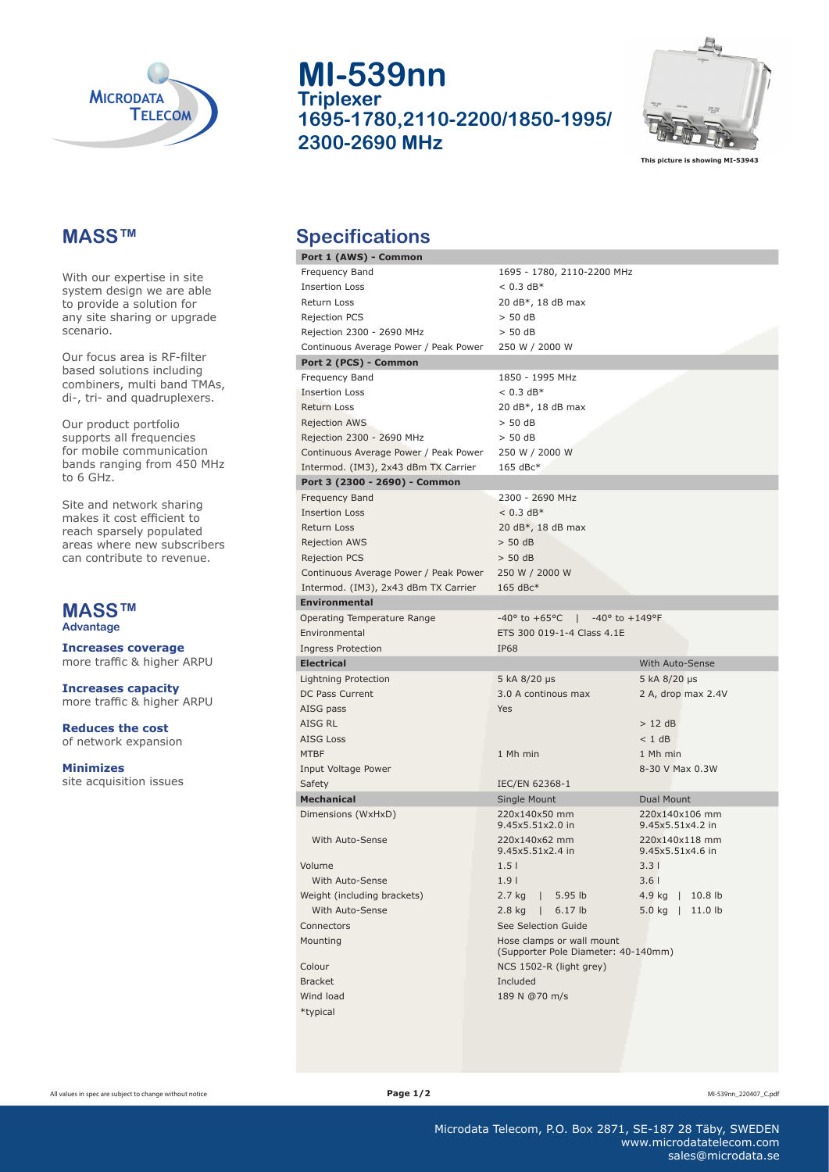

#### **MASS™**

With our expertise in site system design we are able to provide a solution for any site sharing or upgrade scenario.

Our focus area is RF-filter based solutions including combiners, multi band TMAs, di-, tri- and quadruplexers.

Our product portfolio supports all frequencies for mobile communication bands ranging from 450 MHz to 6 GHz.

Site and network sharing makes it cost efficient to reach sparsely populated areas where new subscribers can contribute to revenue.

# **MASS™**

**Advantage**

**Increases coverage** more traffic & higher ARPU

**Increases capacity**  more traffic & higher ARPU

**Reduces the cost** of network expansion

**Minimizes**  site acquisition issues

**MI-539nn Triplexer 1695-1780,2110-2200/1850-1995/ 2300-2690 MHz**



**This picture is showing MI-53943**

#### **Specifications**

| , positival, siti                     |                                                                      |                              |
|---------------------------------------|----------------------------------------------------------------------|------------------------------|
| Port 1 (AWS) - Common                 |                                                                      |                              |
| Frequency Band                        | 1695 - 1780, 2110-2200 MHz                                           |                              |
| <b>Insertion Loss</b>                 | $< 0.3$ dB*                                                          |                              |
| Return Loss                           | 20 dB*, 18 dB max                                                    |                              |
| Rejection PCS                         | > 50 dB                                                              |                              |
| Rejection 2300 - 2690 MHz             | > 50 dB                                                              |                              |
| Continuous Average Power / Peak Power | 250 W / 2000 W                                                       |                              |
| Port 2 (PCS) - Common                 |                                                                      |                              |
| Frequency Band                        | 1850 - 1995 MHz                                                      |                              |
| <b>Insertion Loss</b>                 | $< 0.3$ dB*                                                          |                              |
| <b>Return Loss</b>                    | 20 dB*, 18 dB max                                                    |                              |
| <b>Rejection AWS</b>                  | $>$ 50 dB                                                            |                              |
| Rejection 2300 - 2690 MHz             | > 50 dB                                                              |                              |
| Continuous Average Power / Peak Power | 250 W / 2000 W                                                       |                              |
| Intermod. (IM3), 2x43 dBm TX Carrier  | $165$ dBc*                                                           |                              |
| Port 3 (2300 - 2690) - Common         |                                                                      |                              |
| Frequency Band                        | 2300 - 2690 MHz                                                      |                              |
| <b>Insertion Loss</b>                 | $< 0.3$ dB*                                                          |                              |
| Return Loss                           | 20 dB*, 18 dB max                                                    |                              |
| <b>Rejection AWS</b>                  | > 50 dB                                                              |                              |
| <b>Rejection PCS</b>                  | $>$ 50 dB                                                            |                              |
| Continuous Average Power / Peak Power | 250 W / 2000 W                                                       |                              |
| Intermod. (IM3), 2x43 dBm TX Carrier  | $165$ dBc*                                                           |                              |
| <b>Environmental</b>                  |                                                                      |                              |
| Operating Temperature Range           | $-40^{\circ}$ to $+65^{\circ}$ C   $-40^{\circ}$ to $+149^{\circ}$ F |                              |
| Environmental                         | ETS 300 019-1-4 Class 4.1E                                           |                              |
| <b>Ingress Protection</b>             | <b>IP68</b>                                                          |                              |
| <b>Electrical</b>                     |                                                                      | <b>With Auto-Sense</b>       |
| Lightning Protection                  | 5 kA 8/20 µs                                                         | 5 kA 8/20 µs                 |
| DC Pass Current                       | 3.0 A continous max                                                  | 2 A, drop max 2.4V           |
| AISG pass                             | Yes                                                                  |                              |
| AISG RL                               |                                                                      | $>12$ dB                     |
| <b>AISG Loss</b>                      |                                                                      | < 1 dB                       |
| <b>MTBF</b>                           | 1 Mh min                                                             | 1 Mh min                     |
| Input Voltage Power                   |                                                                      | 8-30 V Max 0.3W              |
| Safety                                | IEC/EN 62368-1                                                       |                              |
| <b>Mechanical</b>                     | Single Mount                                                         | Dual Mount                   |
| Dimensions (WxHxD)                    | 220x140x50 mm                                                        | 220x140x106 mm               |
|                                       | 9.45x5.51x2.0 in                                                     | 9.45x5.51x4.2 in             |
| With Auto-Sense                       | 220x140x62 mm                                                        | 220x140x118 mm               |
|                                       | 9.45x5.51x2.4 in                                                     | 9.45x5.51x4.6 in             |
| Volume                                | 1.5 <sub>1</sub>                                                     | $3.3 \mid$                   |
| With Auto-Sense                       | 1.9 <sub>1</sub>                                                     | 3.6 <sub>1</sub>             |
| Weight (including brackets)           | $2.7$ kg<br>5.95 <sub>1b</sub>                                       | 4.9 kg<br>10.8 <sub>lb</sub> |
| With Auto-Sense                       | $2.8$ kg<br>6.17 lb<br>L                                             | 5.0 kg<br>11.0 lb            |
| Connectors                            | See Selection Guide                                                  |                              |
| Mounting                              | Hose clamps or wall mount<br>(Supporter Pole Diameter: 40-140mm)     |                              |
| Colour                                | NCS 1502-R (light grey)                                              |                              |
| <b>Bracket</b>                        | Included                                                             |                              |
| Wind load                             | 189 N @70 m/s                                                        |                              |
| *typical                              |                                                                      |                              |
|                                       |                                                                      |                              |